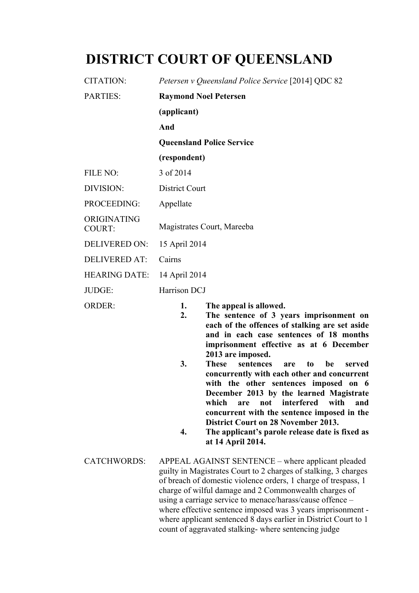# **DISTRICT COURT OF QUEENSLAND**

| CITATION:                    | Petersen v Queensland Police Service [2014] QDC 82                                                                              |
|------------------------------|---------------------------------------------------------------------------------------------------------------------------------|
| <b>PARTIES:</b>              | <b>Raymond Noel Petersen</b>                                                                                                    |
|                              | (applicant)                                                                                                                     |
|                              | And                                                                                                                             |
|                              | <b>Queensland Police Service</b>                                                                                                |
|                              | (respondent)                                                                                                                    |
| FILE NO:                     | 3 of 2014                                                                                                                       |
| DIVISION:                    | <b>District Court</b>                                                                                                           |
| PROCEEDING:                  | Appellate                                                                                                                       |
| ORIGINATING<br><b>COURT:</b> | Magistrates Court, Mareeba                                                                                                      |
| <b>DELIVERED ON:</b>         | 15 April 2014                                                                                                                   |
| <b>DELIVERED AT:</b>         | Cairns                                                                                                                          |
| <b>HEARING DATE:</b>         | 14 April 2014                                                                                                                   |
| JUDGE:                       | Harrison DCJ                                                                                                                    |
| <b>ORDER:</b>                | The appeal is allowed.<br>1.<br>2.<br>The sentence of 3 years imprisonment on<br>each of the offences of stalking are set aside |

- **each of the offences of stalking are set aside and in each case sentences of 18 months imprisonment effective as at 6 December 2013 are imposed.**
- **3. These sentences are to be served concurrently with each other and concurrent with the other sentences imposed on 6 December 2013 by the learned Magistrate which are not interfered with and concurrent with the sentence imposed in the District Court on 28 November 2013.**
- **4. The applicant's parole release date is fixed as at 14 April 2014.**
- CATCHWORDS: APPEAL AGAINST SENTENCE where applicant pleaded guilty in Magistrates Court to 2 charges of stalking, 3 charges of breach of domestic violence orders, 1 charge of trespass, 1 charge of wilful damage and 2 Commonwealth charges of using a carriage service to menace/harass/cause offence – where effective sentence imposed was 3 years imprisonment where applicant sentenced 8 days earlier in District Court to 1 count of aggravated stalking- where sentencing judge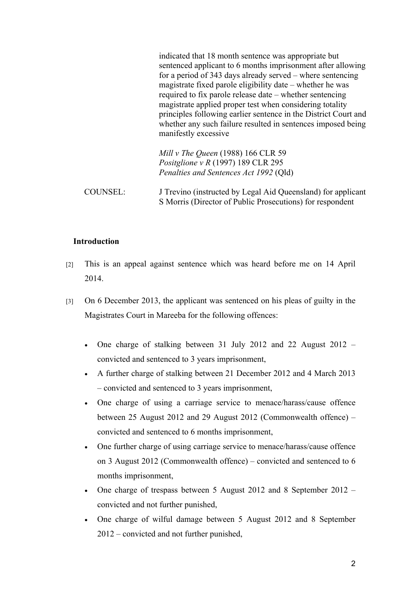|                 | indicated that 18 month sentence was appropriate but<br>sentenced applicant to 6 months imprisonment after allowing<br>for a period of 343 days already served – where sentencing<br>magistrate fixed parole eligibility date – whether he was<br>required to fix parole release date – whether sentencing<br>magistrate applied proper test when considering totality<br>principles following earlier sentence in the District Court and<br>whether any such failure resulted in sentences imposed being<br>manifestly excessive |
|-----------------|-----------------------------------------------------------------------------------------------------------------------------------------------------------------------------------------------------------------------------------------------------------------------------------------------------------------------------------------------------------------------------------------------------------------------------------------------------------------------------------------------------------------------------------|
|                 | Mill v The Queen (1988) 166 CLR 59                                                                                                                                                                                                                                                                                                                                                                                                                                                                                                |
|                 | Positglione v $R(1997)$ 189 CLR 295                                                                                                                                                                                                                                                                                                                                                                                                                                                                                               |
|                 | Penalties and Sentences Act 1992 (Qld)                                                                                                                                                                                                                                                                                                                                                                                                                                                                                            |
| <b>COUNSEL:</b> | J Trevino (instructed by Legal Aid Queensland) for applicant<br>S Morris (Director of Public Prosecutions) for respondent                                                                                                                                                                                                                                                                                                                                                                                                         |

## **Introduction**

- [2] This is an appeal against sentence which was heard before me on 14 April 2014.
- [3] On 6 December 2013, the applicant was sentenced on his pleas of guilty in the Magistrates Court in Mareeba for the following offences:
	- One charge of stalking between 31 July 2012 and 22 August 2012 convicted and sentenced to 3 years imprisonment,
	- A further charge of stalking between 21 December 2012 and 4 March 2013 – convicted and sentenced to 3 years imprisonment,
	- One charge of using a carriage service to menace/harass/cause offence between 25 August 2012 and 29 August 2012 (Commonwealth offence) – convicted and sentenced to 6 months imprisonment,
	- One further charge of using carriage service to menace/harass/cause offence on 3 August 2012 (Commonwealth offence) – convicted and sentenced to 6 months imprisonment,
	- One charge of trespass between 5 August 2012 and 8 September 2012 convicted and not further punished,
	- One charge of wilful damage between 5 August 2012 and 8 September 2012 – convicted and not further punished,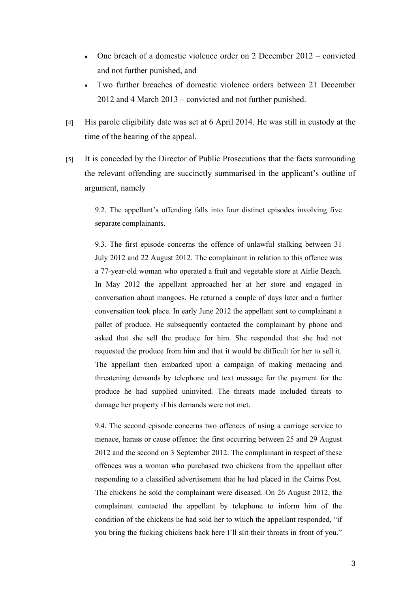- One breach of a domestic violence order on 2 December 2012 convicted and not further punished, and
- Two further breaches of domestic violence orders between 21 December 2012 and 4 March 2013 – convicted and not further punished.
- [4] His parole eligibility date was set at 6 April 2014. He was still in custody at the time of the hearing of the appeal.
- [5] It is conceded by the Director of Public Prosecutions that the facts surrounding the relevant offending are succinctly summarised in the applicant's outline of argument, namely

9.2. The appellant's offending falls into four distinct episodes involving five separate complainants.

9.3. The first episode concerns the offence of unlawful stalking between 31 July 2012 and 22 August 2012. The complainant in relation to this offence was a 77-year-old woman who operated a fruit and vegetable store at Airlie Beach. In May 2012 the appellant approached her at her store and engaged in conversation about mangoes. He returned a couple of days later and a further conversation took place. In early June 2012 the appellant sent to complainant a pallet of produce. He subsequently contacted the complainant by phone and asked that she sell the produce for him. She responded that she had not requested the produce from him and that it would be difficult for her to sell it. The appellant then embarked upon a campaign of making menacing and threatening demands by telephone and text message for the payment for the produce he had supplied uninvited. The threats made included threats to damage her property if his demands were not met.

9.4. The second episode concerns two offences of using a carriage service to menace, harass or cause offence: the first occurring between 25 and 29 August 2012 and the second on 3 September 2012. The complainant in respect of these offences was a woman who purchased two chickens from the appellant after responding to a classified advertisement that he had placed in the Cairns Post. The chickens he sold the complainant were diseased. On 26 August 2012, the complainant contacted the appellant by telephone to inform him of the condition of the chickens he had sold her to which the appellant responded, "if you bring the fucking chickens back here I'll slit their throats in front of you."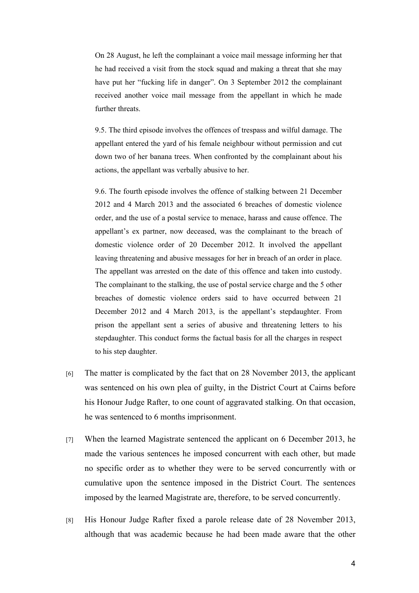On 28 August, he left the complainant a voice mail message informing her that he had received a visit from the stock squad and making a threat that she may have put her "fucking life in danger". On 3 September 2012 the complainant received another voice mail message from the appellant in which he made further threats.

9.5. The third episode involves the offences of trespass and wilful damage. The appellant entered the yard of his female neighbour without permission and cut down two of her banana trees. When confronted by the complainant about his actions, the appellant was verbally abusive to her.

9.6. The fourth episode involves the offence of stalking between 21 December 2012 and 4 March 2013 and the associated 6 breaches of domestic violence order, and the use of a postal service to menace, harass and cause offence. The appellant's ex partner, now deceased, was the complainant to the breach of domestic violence order of 20 December 2012. It involved the appellant leaving threatening and abusive messages for her in breach of an order in place. The appellant was arrested on the date of this offence and taken into custody. The complainant to the stalking, the use of postal service charge and the 5 other breaches of domestic violence orders said to have occurred between 21 December 2012 and 4 March 2013, is the appellant's stepdaughter. From prison the appellant sent a series of abusive and threatening letters to his stepdaughter. This conduct forms the factual basis for all the charges in respect to his step daughter.

- [6] The matter is complicated by the fact that on 28 November 2013, the applicant was sentenced on his own plea of guilty, in the District Court at Cairns before his Honour Judge Rafter, to one count of aggravated stalking. On that occasion, he was sentenced to 6 months imprisonment.
- [7] When the learned Magistrate sentenced the applicant on 6 December 2013, he made the various sentences he imposed concurrent with each other, but made no specific order as to whether they were to be served concurrently with or cumulative upon the sentence imposed in the District Court. The sentences imposed by the learned Magistrate are, therefore, to be served concurrently.
- [8] His Honour Judge Rafter fixed a parole release date of 28 November 2013, although that was academic because he had been made aware that the other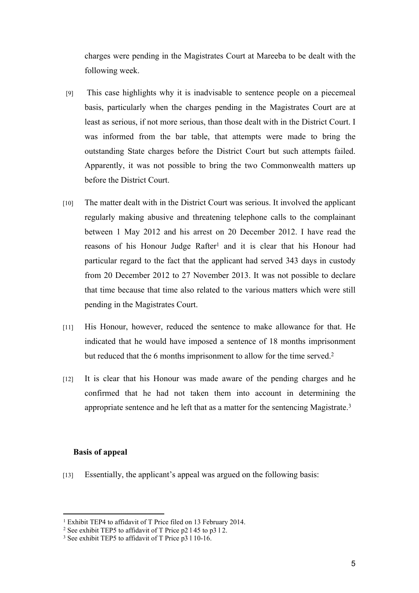charges were pending in the Magistrates Court at Mareeba to be dealt with the following week.

- [9] This case highlights why it is inadvisable to sentence people on a piecemeal basis, particularly when the charges pending in the Magistrates Court are at least as serious, if not more serious, than those dealt with in the District Court. I was informed from the bar table, that attempts were made to bring the outstanding State charges before the District Court but such attempts failed. Apparently, it was not possible to bring the two Commonwealth matters up before the District Court.
- [10] The matter dealt with in the District Court was serious. It involved the applicant regularly making abusive and threatening telephone calls to the complainant between 1 May 2012 and his arrest on 20 December 2012. I have read the reasons of his Honour Judge Rafter<sup>1</sup> and it is clear that his Honour had particular regard to the fact that the applicant had served 343 days in custody from 20 December 2012 to 27 November 2013. It was not possible to declare that time because that time also related to the various matters which were still pending in the Magistrates Court.
- [11] His Honour, however, reduced the sentence to make allowance for that. He indicated that he would have imposed a sentence of 18 months imprisonment but reduced that the 6 months imprisonment to allow for the time served.<sup>2</sup>
- [12] It is clear that his Honour was made aware of the pending charges and he confirmed that he had not taken them into account in determining the appropriate sentence and he left that as a matter for the sentencing Magistrate.<sup>3</sup>

## **Basis of appeal**

[13] Essentially, the applicant's appeal was argued on the following basis:

<sup>&</sup>lt;sup>1</sup> Exhibit TEP4 to affidavit of T Price filed on 13 February 2014.

<sup>2</sup> See exhibit TEP5 to affidavit of T Price p2 l 45 to p3 l 2.

<sup>&</sup>lt;sup>3</sup> See exhibit TEP5 to affidavit of T Price p3 1 10-16.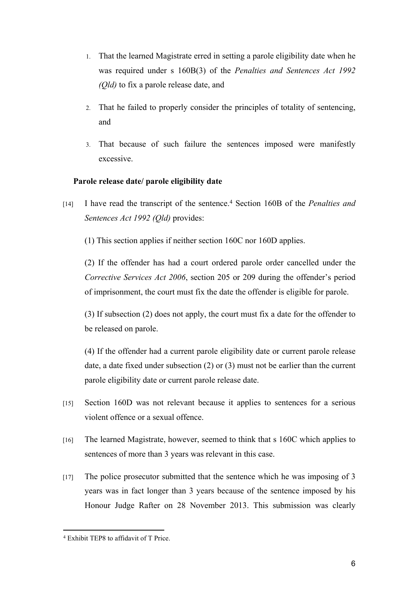- 1. That the learned Magistrate erred in setting a parole eligibility date when he was required under s 160B(3) of the *Penalties and Sentences Act 1992 (Qld)* to fix a parole release date, and
- 2. That he failed to properly consider the principles of totality of sentencing, and
- 3. That because of such failure the sentences imposed were manifestly excessive.

## **Parole release date/ parole eligibility date**

- [14] I have read the transcript of the sentence.<sup>4</sup> Section 160B of the *Penalties and Sentences Act 1992 (Qld)* provides:
	- (1) This section applies if neither section 160C nor 160D applies.

(2) If the offender has had a court ordered parole order cancelled under the *Corrective Services Act 2006*, section 205 or 209 during the offender's period of imprisonment, the court must fix the date the offender is eligible for parole.

(3) If subsection (2) does not apply, the court must fix a date for the offender to be released on parole.

(4) If the offender had a current parole eligibility date or current parole release date, a date fixed under subsection (2) or (3) must not be earlier than the current parole eligibility date or current parole release date.

- [15] Section 160D was not relevant because it applies to sentences for a serious violent offence or a sexual offence.
- [16] The learned Magistrate, however, seemed to think that s 160C which applies to sentences of more than 3 years was relevant in this case.
- [17] The police prosecutor submitted that the sentence which he was imposing of 3 years was in fact longer than 3 years because of the sentence imposed by his Honour Judge Rafter on 28 November 2013. This submission was clearly

<sup>4</sup> Exhibit TEP8 to affidavit of T Price.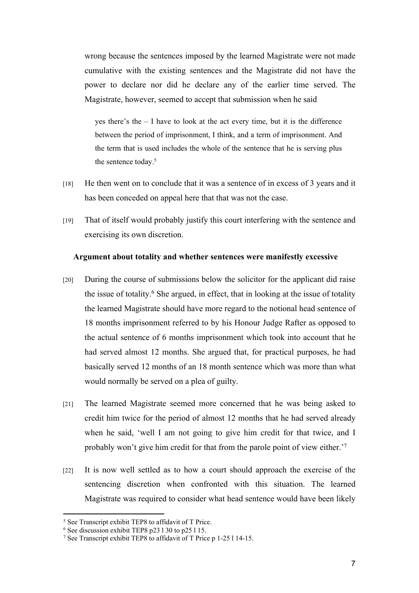wrong because the sentences imposed by the learned Magistrate were not made cumulative with the existing sentences and the Magistrate did not have the power to declare nor did he declare any of the earlier time served. The Magistrate, however, seemed to accept that submission when he said

yes there's the – I have to look at the act every time, but it is the difference between the period of imprisonment, I think, and a term of imprisonment. And the term that is used includes the whole of the sentence that he is serving plus the sentence today.<sup>5</sup>

- [18] He then went on to conclude that it was a sentence of in excess of 3 years and it has been conceded on appeal here that that was not the case.
- [19] That of itself would probably justify this court interfering with the sentence and exercising its own discretion.

#### **Argument about totality and whether sentences were manifestly excessive**

- [20] During the course of submissions below the solicitor for the applicant did raise the issue of totality.<sup>6</sup> She argued, in effect, that in looking at the issue of totality the learned Magistrate should have more regard to the notional head sentence of 18 months imprisonment referred to by his Honour Judge Rafter as opposed to the actual sentence of 6 months imprisonment which took into account that he had served almost 12 months. She argued that, for practical purposes, he had basically served 12 months of an 18 month sentence which was more than what would normally be served on a plea of guilty.
- [21] The learned Magistrate seemed more concerned that he was being asked to credit him twice for the period of almost 12 months that he had served already when he said, 'well I am not going to give him credit for that twice, and I probably won't give him credit for that from the parole point of view either.'<sup>7</sup>
- [22] It is now well settled as to how a court should approach the exercise of the sentencing discretion when confronted with this situation. The learned Magistrate was required to consider what head sentence would have been likely

<sup>5</sup> See Transcript exhibit TEP8 to affidavit of T Price.

<sup>6</sup> See discussion exhibit TEP8 p23 l 30 to p25 l 15.

<sup>7</sup> See Transcript exhibit TEP8 to affidavit of T Price p 1-25 l 14-15.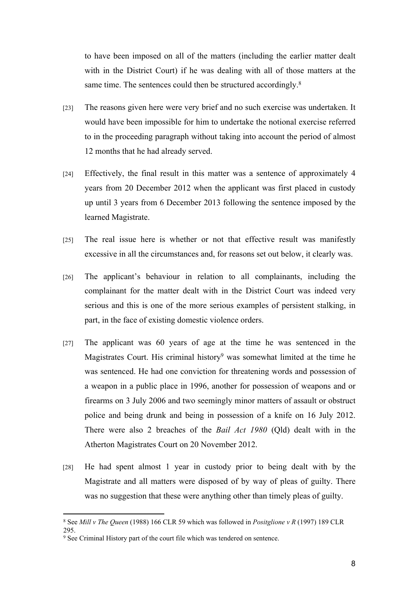to have been imposed on all of the matters (including the earlier matter dealt with in the District Court) if he was dealing with all of those matters at the same time. The sentences could then be structured accordingly.<sup>8</sup>

- [23] The reasons given here were very brief and no such exercise was undertaken. It would have been impossible for him to undertake the notional exercise referred to in the proceeding paragraph without taking into account the period of almost 12 months that he had already served.
- [24] Effectively, the final result in this matter was a sentence of approximately 4 years from 20 December 2012 when the applicant was first placed in custody up until 3 years from 6 December 2013 following the sentence imposed by the learned Magistrate.
- [25] The real issue here is whether or not that effective result was manifestly excessive in all the circumstances and, for reasons set out below, it clearly was.
- [26] The applicant's behaviour in relation to all complainants, including the complainant for the matter dealt with in the District Court was indeed very serious and this is one of the more serious examples of persistent stalking, in part, in the face of existing domestic violence orders.
- [27] The applicant was 60 years of age at the time he was sentenced in the Magistrates Court. His criminal history<sup>9</sup> was somewhat limited at the time he was sentenced. He had one conviction for threatening words and possession of a weapon in a public place in 1996, another for possession of weapons and or firearms on 3 July 2006 and two seemingly minor matters of assault or obstruct police and being drunk and being in possession of a knife on 16 July 2012. There were also 2 breaches of the *Bail Act 1980* (Qld) dealt with in the Atherton Magistrates Court on 20 November 2012.
- [28] He had spent almost 1 year in custody prior to being dealt with by the Magistrate and all matters were disposed of by way of pleas of guilty. There was no suggestion that these were anything other than timely pleas of guilty.

<sup>8</sup> See *Mill v The Queen* (1988) 166 CLR 59 which was followed in *Positglione v R* (1997) 189 CLR 295.

<sup>9</sup> See Criminal History part of the court file which was tendered on sentence.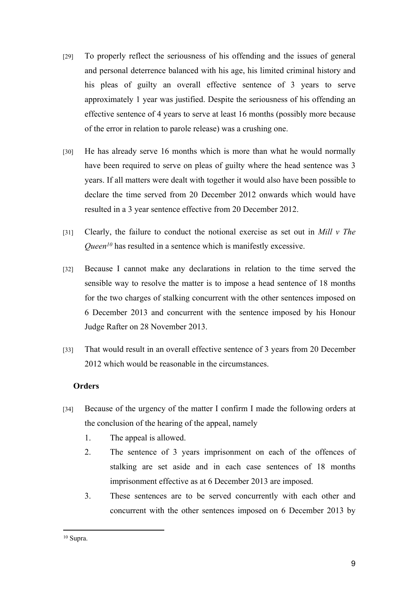- [29] To properly reflect the seriousness of his offending and the issues of general and personal deterrence balanced with his age, his limited criminal history and his pleas of guilty an overall effective sentence of 3 years to serve approximately 1 year was justified. Despite the seriousness of his offending an effective sentence of 4 years to serve at least 16 months (possibly more because of the error in relation to parole release) was a crushing one.
- [30] He has already serve 16 months which is more than what he would normally have been required to serve on pleas of guilty where the head sentence was 3 years. If all matters were dealt with together it would also have been possible to declare the time served from 20 December 2012 onwards which would have resulted in a 3 year sentence effective from 20 December 2012.
- [31] Clearly, the failure to conduct the notional exercise as set out in *Mill v The Queen<sup>10</sup>* has resulted in a sentence which is manifestly excessive.
- [32] Because I cannot make any declarations in relation to the time served the sensible way to resolve the matter is to impose a head sentence of 18 months for the two charges of stalking concurrent with the other sentences imposed on 6 December 2013 and concurrent with the sentence imposed by his Honour Judge Rafter on 28 November 2013.
- [33] That would result in an overall effective sentence of 3 years from 20 December 2012 which would be reasonable in the circumstances.

## **Orders**

- [34] Because of the urgency of the matter I confirm I made the following orders at the conclusion of the hearing of the appeal, namely
	- 1. The appeal is allowed.
	- 2. The sentence of 3 years imprisonment on each of the offences of stalking are set aside and in each case sentences of 18 months imprisonment effective as at 6 December 2013 are imposed.
	- 3. These sentences are to be served concurrently with each other and concurrent with the other sentences imposed on 6 December 2013 by

<sup>10</sup> Supra.